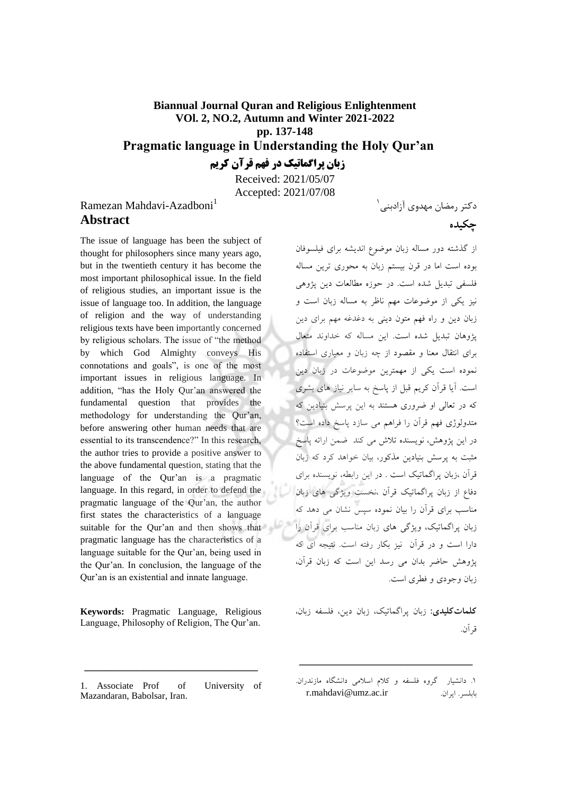### **Biannual Journal Quran and Religious Enlightenment VOl. 2, NO.2, Autumn and Winter 2021-2022 pp. 137-148 Pragmatic language in Understanding the Holy Qur'an زبان پراگماتیک در فهم قرآن کریم**

Received: 2021/05/07 Accepted: 2021/07/08

## Ramezan Mahdavi-Azadboni<sup>1</sup> **Abstract**

The issue of language has been the subject of thought for philosophers since many years ago, but in the twentieth century it has become the most important philosophical issue. In the field of religious studies, an important issue is the issue of language too. In addition, the language of religion and the way of understanding religious texts have been importantly concerned by religious scholars. The issue of "the method by which God Almighty conveys His connotations and goals", is one of the most important issues in religious language. In addition, "has the Holy Qur'an answered the fundamental question that provides the methodology for understanding the Qur'an, before answering other human needs that are essential to its transcendence?" In this research, the author tries to provide a positive answer to the above fundamental question, stating that the language of the Qur'an is a pragmatic language. In this regard, in order to defend the pragmatic language of the Qur'an, the author first states the characteristics of a language زبان پراگماتیک، ویژگی های زبان مناسب برای قرآن را  $\text{suit}$  suitable for the Qur'an and then shows that pragmatic language has the characteristics of a language suitable for the Qur'an, being used in the Qur'an. In conclusion, the language of the Qur'an is an existential and innate language.

**Keywords:** Pragmatic Language, Religious Language, Philosophy of Religion, The Qur'an.

1. Associate Prof of University of Mazandaran, Babolsar, Iran.

دکتر رمضان مهدوی آزادبنی <sup>۱</sup>

از گذشته دور مساله زبان موضوع اندیشه برای فیلسوفان بوده است اما در قرن بیستم زبان به محوری ترین مساله فلسفی تبدیل شده است. در حوزه مطالعات دین یژوهی نیز یکی از موضوعات مهم ناظر به مساله زبان است و زبان دین و راه فهم متون دینی به دغدغه مهم برای دین پژوهان تبدیل شده است. ا ین مساله که خداوند متعال برای انتقال معنا و مقصود از چه زبان و معیاری استفاده نموده است یکی از مهمتر ین موضوعات در زبان دین است. آیا قرآن کریم قبل از پاسخ به سایر نیاز های بشری که در تعالی او ضروری هستند به این پرسش بنیادین که متدولوژی فهم قرآن را فراهم می سازد پاسخ داده است؟ در این پژوهش، نویسنده تلاش می کند ضمن ارائه پاسخ مثبت به پرسش بنیادین مذکور، بیان خواهد کرد که زبان قرآن ،زبان پراگماتیک است . در این رابطه، نویسنده برای دفاع از زبان پراگماتیک قرآن ،نخست ویژگی های زبان مناسب برای قرآن را بیان نموده سپس نشان می دهد که دارا است و در قرآن نیز بکار رفته است. نتیجه ای که پژوهش حاضر بدان می رسد این است که زبان قرآن، زبان وجودی و فطری است.

<mark>کلماتکلیدی:</mark> زبان پر اگماتیک، زبان دین، فلسفه زبان، .قرآن

ـــــــــــــــــــــــــــــــــــــــــــــــــــــ

**چکیده**

<sup>.1</sup> یاردانش گروه فلسفه و کالم اسالم ی دانشگاه مازندران . r.mahdavi@umz.ac.ir .ایران .بابلسر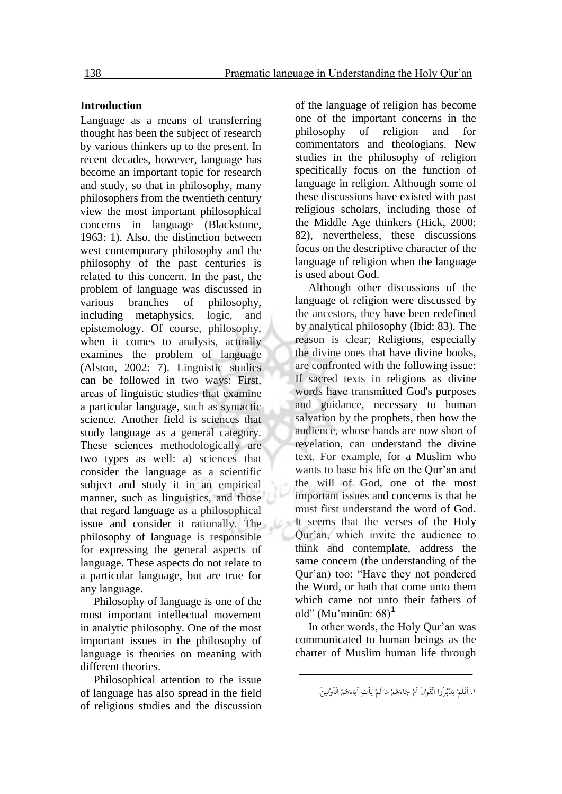#### **Introduction**

Language as a means of transferring thought has been the subject of research by various thinkers up to the present. In recent decades, however, language has become an important topic for research and study, so that in philosophy, many philosophers from the twentieth century view the most important philosophical concerns in language (Blackstone, 1963: 1). Also, the distinction between west contemporary philosophy and the philosophy of the past centuries is related to this concern. In the past, the problem of language was discussed in various branches of philosophy, including metaphysics, logic, and epistemology. Of course, philosophy, when it comes to analysis, actually examines the problem of language (Alston, 2002: 7). Linguistic studies can be followed in two ways: First, areas of linguistic studies that examine a particular language, such as syntactic science. Another field is sciences that study language as a general category. These sciences methodologically are two types as well: a) sciences that consider the language as a scientific subject and study it in an empirical manner, such as linguistics, and those that regard language as a philosophical issue and consider it rationally. The philosophy of language is responsible for expressing the general aspects of language. These aspects do not relate to a particular language, but are true for any language.

Philosophy of language is one of the most important intellectual movement in analytic philosophy. One of the most important issues in the philosophy of language is theories on meaning with different theories.

Philosophical attention to the issue of language has also spread in the field of religious studies and the discussion of the language of religion has become one of the important concerns in the philosophy of religion and for commentators and theologians. New studies in the philosophy of religion specifically focus on the function of language in religion. Although some of these discussions have existed with past religious scholars, including those of the Middle Age thinkers (Hick, 2000: 82), nevertheless, these discussions focus on the descriptive character of the language of religion when the language is used about God.

Although other discussions of the language of religion were discussed by the ancestors, they have been redefined by analytical philosophy (Ibid: 83). The reason is clear; Religions, especially the divine ones that have divine books, are confronted with the following issue: If sacred texts in religions as divine words have transmitted God's purposes and guidance, necessary to human salvation by the prophets, then how the audience, whose hands are now short of revelation, can understand the divine text. For example, for a Muslim who wants to base his life on the Qur'an and the will of God, one of the most important issues and concerns is that he must first understand the word of God. It seems that the verses of the Holy Qur'an, which invite the audience to think and contemplate, address the same concern (the understanding of the Qur'an) too: "Have they not pondered the Word, or hath that come unto them which came not unto their fathers of old" (Mu'minūn:  $68$ )<sup>1</sup>

In other words, the Holy Qur'an was communicated to human beings as the charter of Muslim human life through

<sup>.1</sup> أَفَلَمْ یَدَّبَّرُوا الْقَوْلَ أَمْ جَاءَهُمْ مَا لَمْ یَأْتِ آبَاءَهُمُ الْأَوَّلِین.َ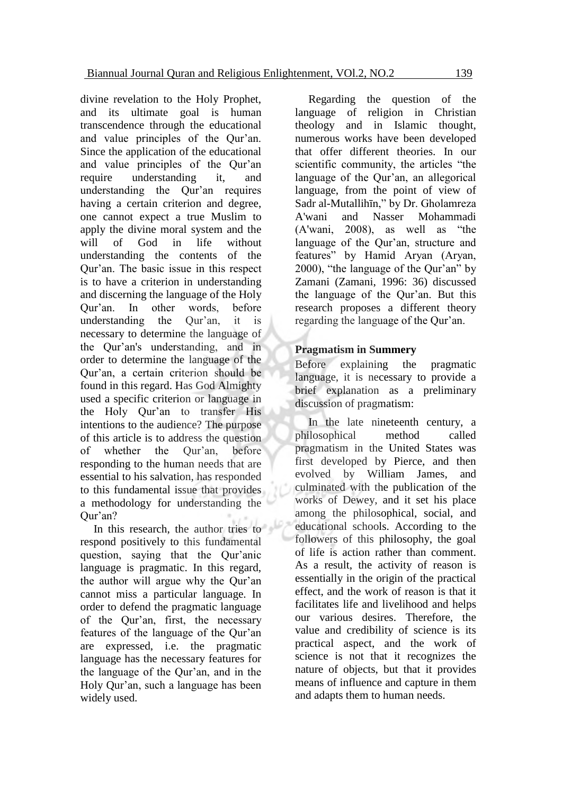divine revelation to the Holy Prophet, and its ultimate goal is human transcendence through the educational and value principles of the Qur'an. Since the application of the educational and value principles of the Qur'an require understanding it, and understanding the Qur'an requires having a certain criterion and degree, one cannot expect a true Muslim to apply the divine moral system and the will of God in life without understanding the contents of the Qur'an. The basic issue in this respect is to have a criterion in understanding and discerning the language of the Holy Qur'an. In other words, before understanding the Qur'an, it is necessary to determine the language of the Qur'an's understanding, and in order to determine the language of the Qur'an, a certain criterion should be found in this regard. Has God Almighty used a specific criterion or language in the Holy Qur'an to transfer His intentions to the audience? The purpose of this article is to address the question of whether the Qur'an, before responding to the human needs that are essential to his salvation, has responded to this fundamental issue that provides a methodology for understanding the Qur'an?

In this research, the author tries to respond positively to this fundamental question, saying that the Qur'anic language is pragmatic. In this regard, the author will argue why the Qur'an cannot miss a particular language. In order to defend the pragmatic language of the Qur'an, first, the necessary features of the language of the Qur'an are expressed, i.e. the pragmatic language has the necessary features for the language of the Qur'an, and in the Holy Qur'an, such a language has been widely used.

Regarding the question of the language of religion in Christian theology and in Islamic thought, numerous works have been developed that offer different theories. In our scientific community, the articles "the language of the Qur'an, an allegorical language, from the point of view of Sadr al-Mutallihīn," by Dr. Gholamreza A'wani and Nasser Mohammadi (A'wani, 2008), as well as "the language of the Qur'an, structure and features" by Hamid Aryan (Aryan, 2000), "the language of the Qur'an" by Zamani (Zamani, 1996: 36) discussed the language of the Qur'an. But this research proposes a different theory regarding the language of the Qur'an.

#### **Pragmatism in Summery**

Before explaining the pragmatic language, it is necessary to provide a brief explanation as a preliminary discussion of pragmatism:

In the late nineteenth century, a philosophical method called pragmatism in the United States was first developed by Pierce, and then evolved by William James, and culminated with the publication of the works of Dewey, and it set his place among the philosophical, social, and educational schools. According to the followers of this philosophy, the goal of life is action rather than comment. As a result, the activity of reason is essentially in the origin of the practical effect, and the work of reason is that it facilitates life and livelihood and helps our various desires. Therefore, the value and credibility of science is its practical aspect, and the work of science is not that it recognizes the nature of objects, but that it provides means of influence and capture in them and adapts them to human needs.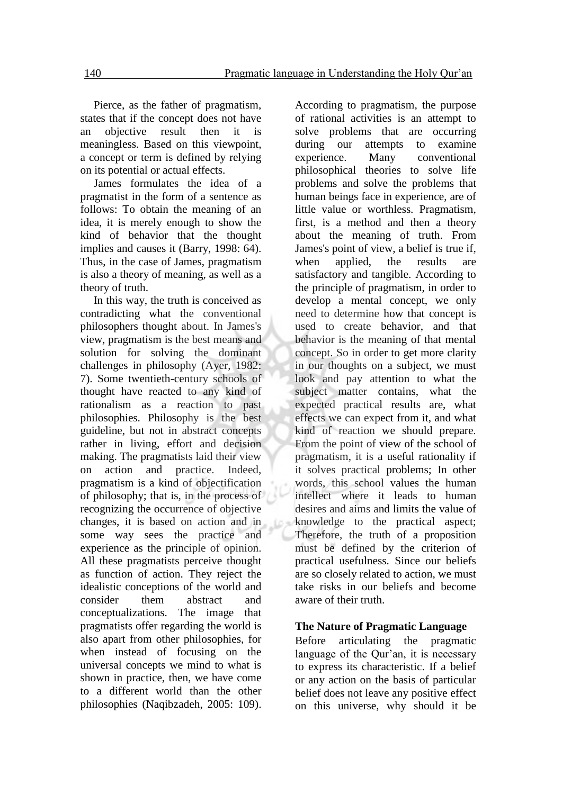Pierce, as the father of pragmatism, states that if the concept does not have an objective result then it is meaningless. Based on this viewpoint, a concept or term is defined by relying on its potential or actual effects.

James formulates the idea of a pragmatist in the form of a sentence as follows: To obtain the meaning of an idea, it is merely enough to show the kind of behavior that the thought implies and causes it (Barry, 1998: 64). Thus, in the case of James, pragmatism is also a theory of meaning, as well as a theory of truth.

In this way, the truth is conceived as contradicting what the conventional philosophers thought about. In James's view, pragmatism is the best means and solution for solving the dominant challenges in philosophy (Ayer, 1982: 7). Some twentieth-century schools of thought have reacted to any kind of rationalism as a reaction to past philosophies. Philosophy is the best guideline, but not in abstract concepts rather in living, effort and decision making. The pragmatists laid their view on action and practice. Indeed, pragmatism is a kind of objectification of philosophy; that is, in the process of recognizing the occurrence of objective changes, it is based on action and in some way sees the practice and experience as the principle of opinion. All these pragmatists perceive thought as function of action. They reject the idealistic conceptions of the world and consider them abstract and conceptualizations. The image that pragmatists offer regarding the world is also apart from other philosophies, for when instead of focusing on the universal concepts we mind to what is shown in practice, then, we have come to a different world than the other philosophies (Naqibzadeh, 2005: 109).

Ĺö.

According to pragmatism, the purpose of rational activities is an attempt to solve problems that are occurring during our attempts to examine experience. Many conventional philosophical theories to solve life problems and solve the problems that human beings face in experience, are of little value or worthless. Pragmatism, first, is a method and then a theory about the meaning of truth. From James's point of view, a belief is true if, when applied, the results are satisfactory and tangible. According to the principle of pragmatism, in order to develop a mental concept, we only need to determine how that concept is used to create behavior, and that behavior is the meaning of that mental concept. So in order to get more clarity in our thoughts on a subject, we must look and pay attention to what the subject matter contains, what the expected practical results are, what effects we can expect from it, and what kind of reaction we should prepare. From the point of view of the school of pragmatism, it is a useful rationality if it solves practical problems; In other words, this school values the human intellect where it leads to human desires and aims and limits the value of knowledge to the practical aspect; Therefore, the truth of a proposition must be defined by the criterion of practical usefulness. Since our beliefs are so closely related to action, we must take risks in our beliefs and become aware of their truth.

#### **The Nature of Pragmatic Language**

Before articulating the pragmatic language of the Qur'an, it is necessary to express its characteristic. If a belief or any action on the basis of particular belief does not leave any positive effect on this universe, why should it be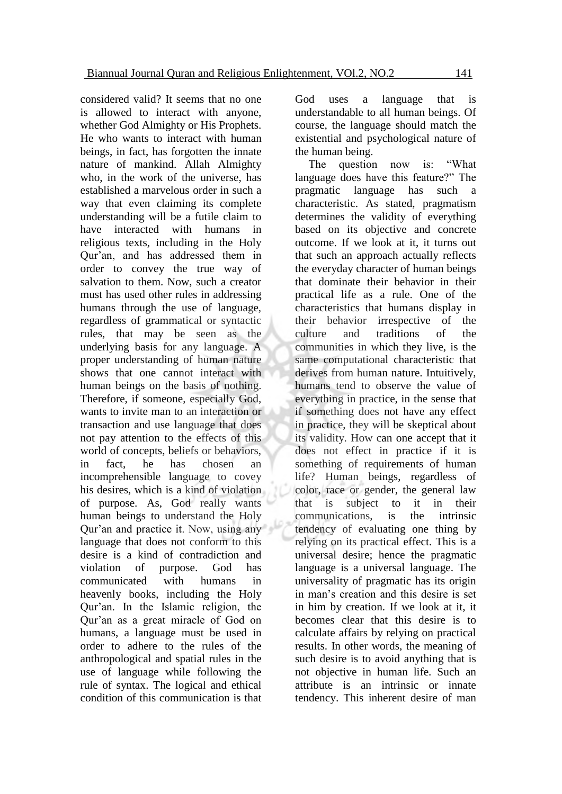considered valid? It seems that no one is allowed to interact with anyone, whether God Almighty or His Prophets. He who wants to interact with human beings, in fact, has forgotten the innate nature of mankind. Allah Almighty who, in the work of the universe, has established a marvelous order in such a way that even claiming its complete understanding will be a futile claim to have interacted with humans in religious texts, including in the Holy Qur'an, and has addressed them in order to convey the true way of salvation to them. Now, such a creator must has used other rules in addressing humans through the use of language, regardless of grammatical or syntactic rules, that may be seen as the underlying basis for any language. A proper understanding of human nature shows that one cannot interact with human beings on the basis of nothing. Therefore, if someone, especially God, wants to invite man to an interaction or transaction and use language that does not pay attention to the effects of this world of concepts, beliefs or behaviors, in fact, he has chosen an incomprehensible language to covey his desires, which is a kind of violation of purpose. As, God really wants human beings to understand the Holy Qur'an and practice it. Now, using any language that does not conform to this desire is a kind of contradiction and violation of purpose. God has communicated with humans in heavenly books, including the Holy Qur'an. In the Islamic religion, the Qur'an as a great miracle of God on humans, a language must be used in order to adhere to the rules of the anthropological and spatial rules in the use of language while following the rule of syntax. The logical and ethical condition of this communication is that

God uses a language that is understandable to all human beings. Of course, the language should match the existential and psychological nature of the human being.

The question now is: "What language does have this feature?" The pragmatic language has such a characteristic. As stated, pragmatism determines the validity of everything based on its objective and concrete outcome. If we look at it, it turns out that such an approach actually reflects the everyday character of human beings that dominate their behavior in their practical life as a rule. One of the characteristics that humans display in their behavior irrespective of the culture and traditions of the communities in which they live, is the same computational characteristic that derives from human nature. Intuitively, humans tend to observe the value of everything in practice, in the sense that if something does not have any effect in practice, they will be skeptical about its validity. How can one accept that it does not effect in practice if it is something of requirements of human life? Human beings, regardless of color, race or gender, the general law that is subject to it in their communications, is the intrinsic tendency of evaluating one thing by relying on its practical effect. This is a universal desire; hence the pragmatic language is a universal language. The universality of pragmatic has its origin in man's creation and this desire is set in him by creation. If we look at it, it becomes clear that this desire is to calculate affairs by relying on practical results. In other words, the meaning of such desire is to avoid anything that is not objective in human life. Such an attribute is an intrinsic or innate tendency. This inherent desire of man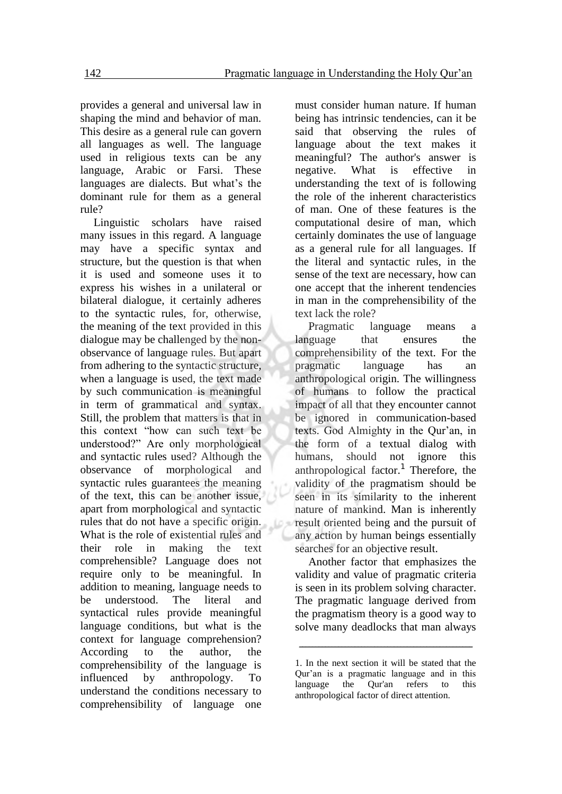provides a general and universal law in shaping the mind and behavior of man. This desire as a general rule can govern all languages as well. The language used in religious texts can be any language, Arabic or Farsi. These languages are dialects. But what's the dominant rule for them as a general rule?

Linguistic scholars have raised many issues in this regard. A language may have a specific syntax and structure, but the question is that when it is used and someone uses it to express his wishes in a unilateral or bilateral dialogue, it certainly adheres to the syntactic rules, for, otherwise, the meaning of the text provided in this dialogue may be challenged by the nonobservance of language rules. But apart from adhering to the syntactic structure, when a language is used, the text made by such communication is meaningful in term of grammatical and syntax. Still, the problem that matters is that in this context "how can such text be understood?" Are only morphological and syntactic rules used? Although the observance of morphological and syntactic rules guarantees the meaning of the text, this can be another issue, apart from morphological and syntactic rules that do not have a specific origin. What is the role of existential rules and their role in making the text comprehensible? Language does not require only to be meaningful. In addition to meaning, language needs to be understood. The literal and syntactical rules provide meaningful language conditions, but what is the context for language comprehension? According to the author, the comprehensibility of the language is influenced by anthropology. To understand the conditions necessary to comprehensibility of language one

Lo

must consider human nature. If human being has intrinsic tendencies, can it be said that observing the rules of language about the text makes it meaningful? The author's answer is negative. What is effective in understanding the text of is following the role of the inherent characteristics of man. One of these features is the computational desire of man, which certainly dominates the use of language as a general rule for all languages. If the literal and syntactic rules, in the sense of the text are necessary, how can one accept that the inherent tendencies in man in the comprehensibility of the text lack the role?

Pragmatic language means a language that ensures the comprehensibility of the text. For the pragmatic language has an anthropological origin. The willingness of humans to follow the practical impact of all that they encounter cannot be ignored in communication-based texts. God Almighty in the Qur'an, in the form of a textual dialog with humans, should not ignore this anthropological factor.<sup>1</sup> Therefore, the validity of the pragmatism should be seen in its similarity to the inherent nature of mankind. Man is inherently result oriented being and the pursuit of any action by human beings essentially searches for an objective result.

Another factor that emphasizes the validity and value of pragmatic criteria is seen in its problem solving character. The pragmatic language derived from the pragmatism theory is a good way to solve many deadlocks that man always

ـــــــــــــــــــــــــــــــــــــــــــــــــــــ

<sup>1.</sup> In the next section it will be stated that the Qur'an is a pragmatic language and in this language the Qur'an refers to this anthropological factor of direct attention.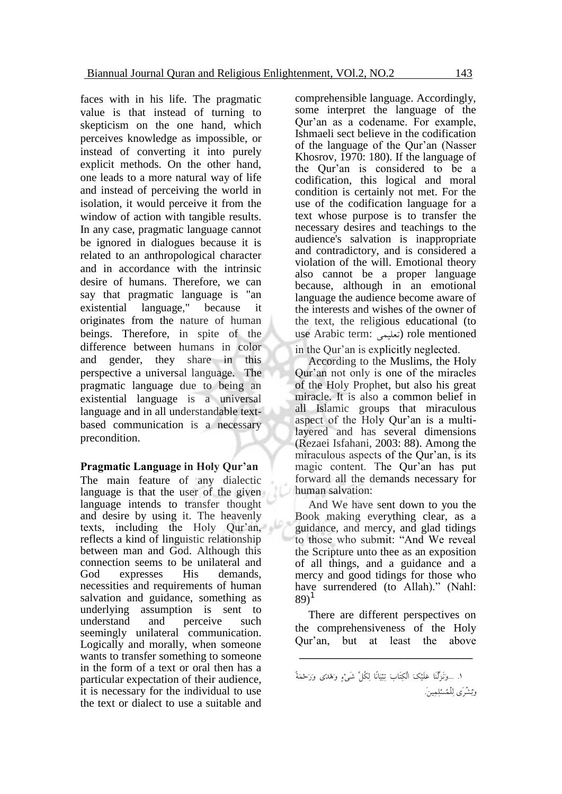faces with in his life. The pragmatic value is that instead of turning to skepticism on the one hand, which perceives knowledge as impossible, or instead of converting it into purely explicit methods. On the other hand, one leads to a more natural way of life and instead of perceiving the world in isolation, it would perceive it from the window of action with tangible results. In any case, pragmatic language cannot be ignored in dialogues because it is related to an anthropological character and in accordance with the intrinsic desire of humans. Therefore, we can say that pragmatic language is "an existential language," because it originates from the nature of human beings. Therefore, in spite of the difference between humans in color and gender, they share in this perspective a universal language. The pragmatic language due to being an existential language is a universal language and in all understandable textbased communication is a necessary precondition.

#### **Pragmatic Language in Holy Qur'an**

The main feature of any dialectic language is that the user of the given language intends to transfer thought and desire by using it. The heavenly texts, including the Holy Qur'an, reflects a kind of linguistic relationship between man and God. Although this connection seems to be unilateral and God expresses His demands, necessities and requirements of human salvation and guidance, something as underlying assumption is sent to understand and perceive such seemingly unilateral communication. Logically and morally, when someone wants to transfer something to someone in the form of a text or oral then has a particular expectation of their audience, it is necessary for the individual to use the text or dialect to use a suitable and

comprehensible language. Accordingly, some interpret the language of the Qur'an as a codename. For example, Ishmaeli sect believe in the codification of the language of the Qur'an (Nasser Khosrov, 1970: 180). If the language of the Qur'an is considered to be a codification, this logical and moral condition is certainly not met. For the use of the codification language for a text whose purpose is to transfer the necessary desires and teachings to the audience's salvation is inappropriate and contradictory, and is considered a violation of the will. Emotional theory also cannot be a proper language because, although in an emotional language the audience become aware of the interests and wishes of the owner of the text, the religious educational (to use Arabic term: تعلیمی) role mentioned in the Qur'an is explicitly neglected.

According to the Muslims, the Holy Qur'an not only is one of the miracles of the Holy Prophet, but also his great miracle. It is also a common belief in all Islamic groups that miraculous aspect of the Holy Qur'an is a multilayered and has several dimensions (Rezaei Isfahani, 2003: 88). Among the miraculous aspects of the Qur'an, is its magic content. The Qur'an has put forward all the demands necessary for human salvation:

And We have sent down to you the Book making everything clear, as a guidance, and mercy, and glad tidings to those who submit: "And We reveal the Scripture unto thee as an exposition of all things, and a guidance and a mercy and good tidings for those who have surrendered (to Allah)." (Nahl:  $89)$ <sup>1</sup>

There are different perspectives on the comprehensiveness of the Holy Qur'an, but at least the above

ـــــــــــــــــــــــــــــــــــــــــــــــــــــ

<sup>.1 ...</sup>وَنَزَّلْنَا عَلَیْکَ الْکِتَابَ تِبْیَانًا لِکُلِّ شَیْءٍ وَهُدًى وَرَحْمَةً وَبُشْرَى لِلْمُسْلِمِین.َ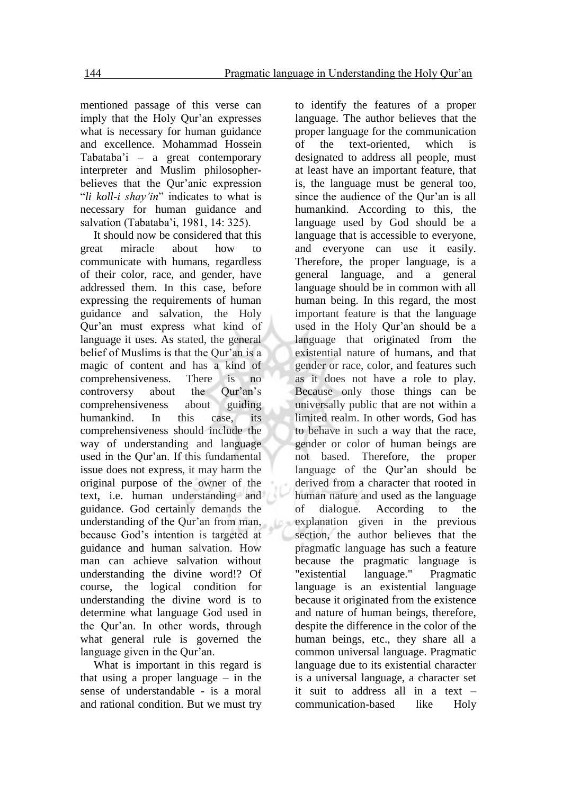mentioned passage of this verse can imply that the Holy Qur'an expresses what is necessary for human guidance and excellence. Mohammad Hossein Tabataba'i – a great contemporary interpreter and Muslim philosopherbelieves that the Qur'anic expression "*li koll-i shay'in*" indicates to what is necessary for human guidance and salvation (Tabataba'i, 1981, 14: 325).

It should now be considered that this great miracle about how to communicate with humans, regardless of their color, race, and gender, have addressed them. In this case, before expressing the requirements of human guidance and salvation, the Holy Qur'an must express what kind of language it uses. As stated, the general belief of Muslims is that the Qur'an is a magic of content and has a kind of comprehensiveness. There is no controversy about the Qur'an's comprehensiveness about guiding humankind. In this case, its comprehensiveness should include the way of understanding and language used in the Qur'an. If this fundamental issue does not express, it may harm the original purpose of the owner of the text, i.e. human understanding and guidance. God certainly demands the understanding of the Qur'an from man, because God's intention is targeted at guidance and human salvation. How man can achieve salvation without understanding the divine word!? Of course, the logical condition for understanding the divine word is to determine what language God used in the Qur'an. In other words, through what general rule is governed the language given in the Qur'an.

What is important in this regard is that using a proper language – in the sense of understandable - is a moral and rational condition. But we must try

to identify the features of a proper language. The author believes that the proper language for the communication of the text-oriented, which is designated to address all people, must at least have an important feature, that is, the language must be general too, since the audience of the Qur'an is all humankind. According to this, the language used by God should be a language that is accessible to everyone, and everyone can use it easily. Therefore, the proper language, is a general language, and a general language should be in common with all human being. In this regard, the most important feature is that the language used in the Holy Qur'an should be a language that originated from the existential nature of humans, and that gender or race, color, and features such as it does not have a role to play. Because only those things can be universally public that are not within a limited realm. In other words, God has to behave in such a way that the race, gender or color of human beings are not based. Therefore, the proper language of the Qur'an should be derived from a character that rooted in human nature and used as the language of dialogue. According to the explanation given in the previous section, the author believes that the pragmatic language has such a feature because the pragmatic language is "existential language." Pragmatic language is an existential language because it originated from the existence and nature of human beings, therefore, despite the difference in the color of the human beings, etc., they share all a common universal language. Pragmatic language due to its existential character is a universal language, a character set it suit to address all in a text – communication-based like Holy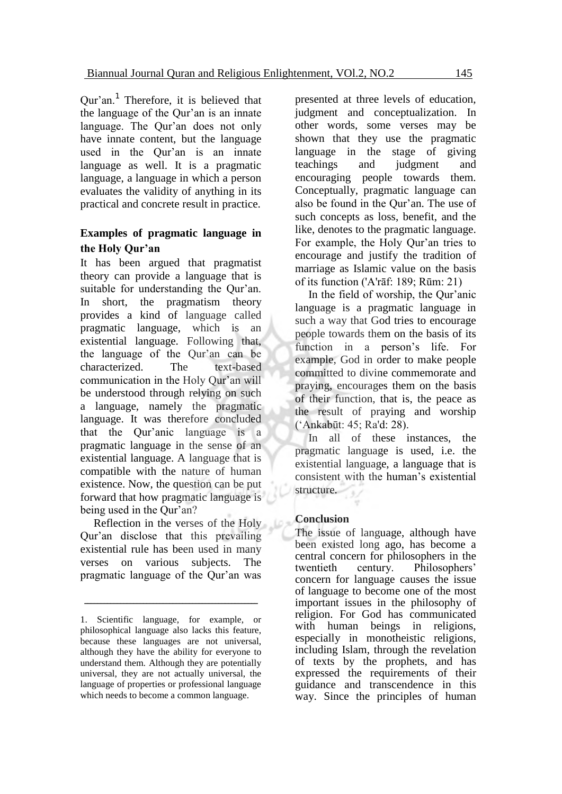Qur'an.<sup>1</sup> Therefore, it is believed that the language of the Qur'an is an innate language. The Qur'an does not only have innate content, but the language used in the Qur'an is an innate language as well. It is a pragmatic language, a language in which a person evaluates the validity of anything in its practical and concrete result in practice.

#### **Examples of pragmatic language in the Holy Qur'an**

It has been argued that pragmatist theory can provide a language that is suitable for understanding the Qur'an. In short, the pragmatism theory provides a kind of language called pragmatic language, which is an existential language. Following that, the language of the Qur'an can be characterized. The text-based communication in the Holy Qur'an will be understood through relying on such a language, namely the pragmatic language. It was therefore concluded that the Qur'anic language is a pragmatic language in the sense of an existential language. A language that is compatible with the nature of human existence. Now, the question can be put forward that how pragmatic language is being used in the Qur'an?

Reflection in the verses of the Holy Qur'an disclose that this prevailing existential rule has been used in many verses on various subjects. The pragmatic language of the Qur'an was

presented at three levels of education, judgment and conceptualization. In other words, some verses may be shown that they use the pragmatic language in the stage of giving teachings and judgment and encouraging people towards them. Conceptually, pragmatic language can also be found in the Qur'an. The use of such concepts as loss, benefit, and the like, denotes to the pragmatic language. For example, the Holy Qur'an tries to encourage and justify the tradition of marriage as Islamic value on the basis of its function ('A'rāf: 189; Rūm: 21)

In the field of worship, the Qur'anic language is a pragmatic language in such a way that God tries to encourage people towards them on the basis of its function in a person's life. For example, God in order to make people committed to divine commemorate and praying, encourages them on the basis of their function, that is, the peace as the result of praying and worship ('Ankabūt: 45; Ra'd: 28).

In all of these instances, the pragmatic language is used, i.e. the existential language, a language that is consistent with the human's existential structure.

#### **Conclusion**

The issue of language, although have been existed long ago, has become a central concern for philosophers in the twentieth century. Philosophers' concern for language causes the issue of language to become one of the most important issues in the philosophy of religion. For God has communicated with human beings in religions, especially in monotheistic religions, including Islam, through the revelation of texts by the prophets, and has expressed the requirements of their guidance and transcendence in this way. Since the principles of human

<sup>1.</sup> Scientific language, for example, or philosophical language also lacks this feature, because these languages are not universal, although they have the ability for everyone to understand them. Although they are potentially universal, they are not actually universal, the language of properties or professional language which needs to become a common language.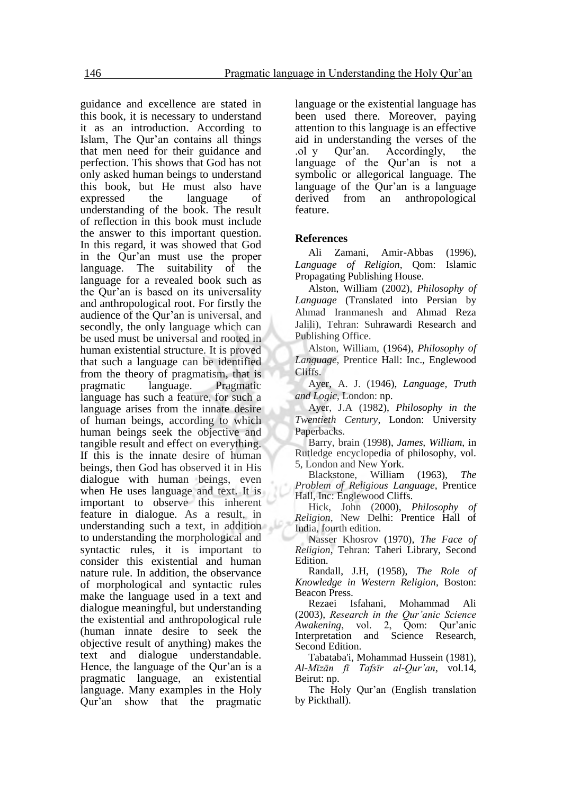guidance and excellence are stated in this book, it is necessary to understand it as an introduction. According to Islam, The Qur'an contains all things that men need for their guidance and perfection. This shows that God has not only asked human beings to understand this book, but He must also have expressed the language of understanding of the book. The result of reflection in this book must include the answer to this important question. In this regard, it was showed that God in the Qur'an must use the proper language. The suitability of the language for a revealed book such as the Qur'an is based on its universality and anthropological root. For firstly the audience of the Qur'an is universal, and secondly, the only language which can be used must be universal and rooted in human existential structure. It is proved that such a language can be identified from the theory of pragmatism, that is pragmatic language. Pragmatic language has such a feature, for such a language arises from the innate desire of human beings, according to which human beings seek the objective and tangible result and effect on everything. If this is the innate desire of human beings, then God has observed it in His dialogue with human beings, even when He uses language and text. It is important to observe this inherent feature in dialogue. As a result, in understanding such a text, in addition to understanding the morphological and syntactic rules, it is important to consider this existential and human nature rule. In addition, the observance of morphological and syntactic rules make the language used in a text and dialogue meaningful, but understanding the existential and anthropological rule (human innate desire to seek the objective result of anything) makes the text and dialogue understandable. Hence, the language of the Qur'an is a pragmatic language, an existential language. Many examples in the Holy Qur'an show that the pragmatic

language or the existential language has been used there. Moreover, paying attention to this language is an effective aid in understanding the verses of the .ol y Qur'an. Accordingly, the language of the Qur'an is not a symbolic or allegorical language. The language of the Qur'an is a language derived from an anthropological feature.

#### **References**

Ali Zamani, Amir-Abbas (1996), *Language of Religion*, Qom: Islamic Propagating Publishing House.

Alston, William (2002), *Philosophy of Language* (Translated into Persian by Ahmad Iranmanesh and Ahmad Reza Jalili), Tehran: Suhrawardi Research and Publishing Office.

Alston, William, (1964), *Philosophy of Language*, Prentice Hall: Inc., Englewood Cliffs.

Ayer, A. J. (1946), *Language, Truth and Logic*, London: np.

Ayer, J.A (1982), *Philosophy in the Twentieth Century*, London: University Paperbacks.

Barry, brain (1998), *James, William*, in Rutledge encyclopedia of philosophy, vol. 5, London and New York.

Blackstone, William (1963), *The Problem of Religious Language*, Prentice Hall, Inc: Englewood Cliffs.

Hick, John (2000), *Philosophy of Religion*, New Delhi: Prentice Hall of India, fourth edition.

Nasser Khosrov (1970), *The Face of Religion*, Tehran: Taheri Library, Second Edition.

Randall, J.H, (1958), *The Role of Knowledge in Western Religion*, Boston: Beacon Press.

Rezaei Isfahani, Mohammad Ali (2003), *Research in the Qur'anic Science Awakening*, vol. 2, Qom: Qur'anic Interpretation and Science Research, Second Edition.

Tabataba'i, Mohammad Hussein (1981), *Al-Mīzān fī Tafsīr al-Qur'an*, vol.14, Beirut: np.

The Holy Qur'an (English translation by Pickthall).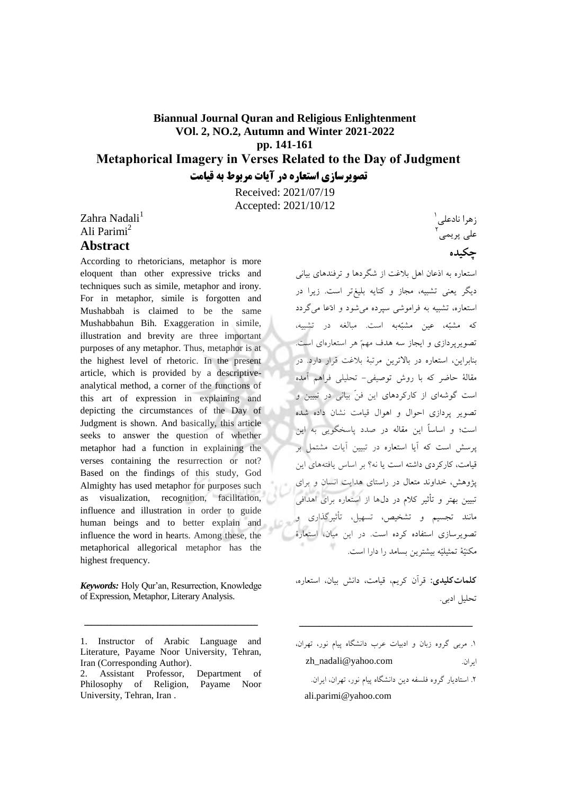# **Biannual Journal Quran and Religious Enlightenment VOl. 2, NO.2, Autumn and Winter 2021-2022 pp. 141-161 Metaphorical Imagery in Verses Related to the Day of Judgment**

**در آیات تصویرسازي استعاره مربوط به قیامت**

Received: 2021/07/19 Accepted: 2021/10/12

Zahra Nadali<sup>1</sup> Ali Parimi<sup>2</sup>

# **Abstract**

According to rhetoricians, metaphor is more eloquent than other expressive tricks and techniques such as simile, metaphor and irony. For in metaphor, simile is forgotten and Mushabbah is claimed to be the same Mushabbahun Bih. Exaggeration in simile, illustration and brevity are three important purposes of any metaphor. Thus, metaphor is at the highest level of rhetoric. In the present article, which is provided by a descriptiveanalytical method, a corner of the functions of this art of expression in explaining and depicting the circumstances of the Day of Judgment is shown. And basically, this article seeks to answer the question of whether metaphor had a function in explaining the verses containing the resurrection or not? Based on the findings of this study, God Almighty has used metaphor for purposes such as visualization, recognition, facilitation, influence and illustration in order to guide human beings and to better explain and influence the word in hearts. Among these, the metaphorical allegorical metaphor has the highest frequency.

*Keywords:* Holy Qur'an, Resurrection, Knowledge of Expression, Metaphor, Literary Analysis.

زهرا نادعلی<sup>۱</sup> علی پریمی<sup>۲</sup> **چکیده**

استعاره به اذعان اهل بالغت از شگردها و ترفندهای بیانی دیگر یعنی تشبیه، مجاز و کنایه بلیغتر است. زیرا در استعاره، تشبیه به فراموشی سپرده می شود و ادّعا می گردد که مشبّه، عین مشبّهبه است. مبالغه در تشبیه، تصویر پردازی و ایجاز سه هدف مهمّ هر استعارهای است. بنابرا ین، استعاره در باالترین مرتبة بالغت قرار دارد. در مقالة حاضر که با روش توصیفی- تحلیلی فراهم آمده است گوشهای از کارکردهای این فنّ بیانی در تبیین و تصویر پردازی احوال و اهوال قیامت نشان داده شده است؛ و اساساً این مقاله در صدد پاسخگویی به این است که پرسش آیا استعاره در تبیین آیات مشتمل بر قیامت، کارکردی داشته است یا نه؟ بر اساس یافتههای این و برای پژوهش، خداوند متعال در راستای هدایت انسان تبیین بهتر و تأثیر کالم در دلها از استعاره برای اهدافی مانند تجسیم و تشخیص، تسهیل، تأثیرگذاری و تصویرسازی استفاده کرده است. در این میان، استعارة مکنیّة تمثیلیّه بیشترین بسامد را د است. ارا

**:کلیدیکلمات** قرآن کریم، قیامت، دانش بیان، استعاره، تحلیل ادبی.

ـــــــــــــــــــــــــــــــــــــــــــــــــــــ

۲. استادیار گروه فلسفه دین دانشگاه پیام نور، تهران، ایران. ali.parimi@yahoo.com

<sup>1.</sup> Instructor of Arabic Language and Literature, Payame Noor University, Tehran, Iran (Corresponding Author).

<sup>2.</sup> Assistant Professor, Department of Philosophy of Religion, Payame Noor University, Tehran, Iran .

<sup>1.</sup> مربی گروه زبان و ادبیات عرب دانشگاه پیام نور، تهران، zh\_nadali@yahoo.com . یرانا